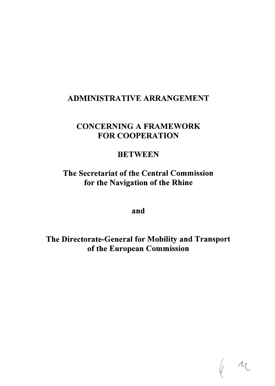# **ADMINISTRATIVE ARRANGEMENT**

# **CONCERNING A FRAMEWORK FOR COOPERATION**

### **BETWEEN**

**The Secretariat of the Central Commission for the Navigation of the Rhine** 

**and** 

**The Directorate-General for Mobility and Transport of the European Commission**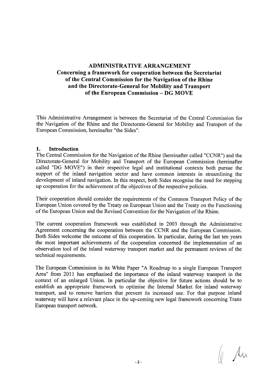### **ADMINISTRATIVE ARRANGEMENT Concerning a framework for cooperation between the Secretariat of the Central Commission for the Navigation of the Rhine and the Directorate-General for Mobility and Transport of the European Commission - DG MOVE**

This Administrative Arrangement is between the Secretariat of the Central Commission for the Navigation of the Rhine and the Directorate-General for Mobility and Transport of the European Commission, hereinafter "the Sides".

#### **1. Introduction**

The Central Commission for the Navigation of the Rhine (hereinafter called "CCNR") and the Directorate-General for Mobility and Transport of the European Commission (hereinafter called "DG MOVE") in their respective legal and institutional contexts both pursue the support of the inland navigation sector and have common interests in streamlining the development of inland navigation. In this respect, both Sides recognise the need for stepping up cooperation for the achievement of the objectives of the respective policies.

Their cooperation should consider the requirements of the Common Transport Policy of the European Union covered by the Treaty on European Union and the Treaty on the Functioning of the European Union and the Revised Convention for the Navigation of the Rhine.

The current cooperation framework was established in 2003 through the Administrative Agreement concerning the cooperation between the CCNR and the European Commission. Both Sides welcome the outcome of this cooperation. In particular, during the last ten years the most important achievements of the cooperation concerned the implementation of an observation tool of the inland waterway transport market and the permanent reviews of the technical requirements.

The European Commission in its White Paper "A Roadmap to a single European Transport Area" from 2011 has emphasised the importance of the inland waterway transport in the context of an enlarged Union. In particular the objective for future actions should be to establish an appropriate framework to optimise the Internal Market for inland waterway transport, and to remove barriers that prevent its increased use. For that purpose inland waterway will have a relevant place in the up-coming new legal framework concerning Trans European transport network.

 $\theta$  and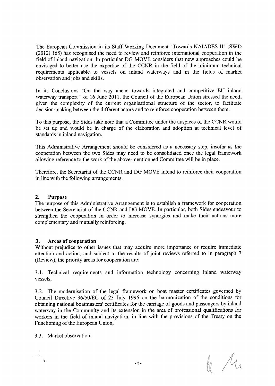The European Commission in its Staff Working Document "Towards NAIADES II" (SWD (2012) 168) has recognised the need to review and reinforce international cooperation in the field of inland navigation. In particular DG MOVE considers that new approaches could be envisaged to better use the expertise of the CCNR in the field of the minimum technical requirements applicable to vessels on inland waterways and in the fields of market observation and jobs and skills.

In its Conclusions "On the way ahead towards integrated and competitive EU inland waterway transport " of 16 June 2011, the Council of the European Union stressed the need, given the complexity of the current organisational structure of the sector, to facilitate decision-making between the different actors and to reinforce cooperation between them.

To this purpose, the Sides take note that a Committee under the auspices of the CCNR would be set up and would be in charge of the elaboration and adoption at technical level of standards in inland navigation.

This Administrative Arrangement should be considered as a necessary step, insofar as the cooperation between the two Sides may need to be consolidated once the legal framework allowing reference to the work of the above-mentionned Committee will be in place.

Therefore, the Secretariat of the CCNR and DG MOVE intend to reinforce their cooperation in line with the following arrangements.

#### **2. Purpose**

The purpose of this Administrative Arrangement is to establish a framework for cooperation between the Secretariat of the CCNR and DG MOVE. In particular, both Sides endeavour to strengthen the cooperation in order to increase synergies and make their actions more complementary and mutually reinforcing.

#### **3. Areas of cooperation**

Without prejudice to other issues that may acquire more importance or require immediate attention and action, and subject to the results of joint reviews referred to in paragraph 7 (Review), the priority areas for cooperation are:

3.1. Technical requirements and information technology concerning inland waterway vessels,

3.2. The modernisation of the legal framework on boat master certificates governed by Council Directive 96/50/EC of 23 July 1996 on the harmonization of the conditions for obtaining national boatmasters' certificates for the carriage of goods and passengers by inland waterway in the Community and its extension in the area of professional qualifications for workers in the field of inland navigation, in line with the provisions of the Treaty on the Functioning of the European Union,

3.3. Market observation.

 $\sqrt{\mu}$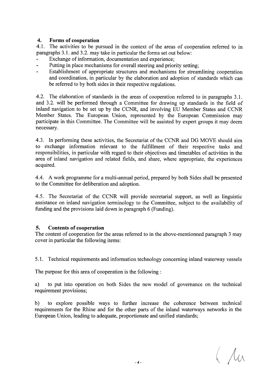#### **4. Forms of cooperation**

4.1. The activities to be pursued in the context of the areas of cooperation referred to in paragraphs 3.1. and 3.2. may take in particular the forms set out below:

- Exchange of information, documentation and experience;
- Putting in place mechanisms for overall steering and priority setting;  $\overline{a}$
- Establishment of appropriate structures and mechanisms for streamlining cooperation and coordination, in particular by the elaboration and adoption of standards which can be referred to by both sides in their respective regulations.

4.2. The elaboration of standards in the areas of cooperation referred to in paragraphs 3.1. and 3.2. will be performed through a Committee for drawing up standards in the field of inland navigation to be set up by the CCNR, and involving EU Member States and CCNR Member States. The European Union, represented by the European Commission may participate in this Committee. The Committee will be assisted by expert groups it may deem necessary.

4.3. In performing these activities, the Secretariat of the CCNR and DG MOVE should aim to exchange information relevant to the fulfillment of their respective tasks and responsibilities, in particular with regard to their objectives and timetables of activities in the area of inland navigation and related fields, and share, where appropriate, the experiences acquired.

4.4. A work programme for a multi-annual period, prepared by both Sides shall be presented to the Committee for deliberation and adoption.

4.5. The Secretariat of the CCNR will provide secretarial support, as well as linguistic assistance on inland navigation terminology to the Committee, subject to the availability of funding and the provisions laid down in paragraph 6 (Funding).

#### **5. Contents of cooperation**

The content of cooperation for the areas referred to in the above-mentionned paragraph 3 may cover in particular the following items:

5.1. Technical requirements and information technology concerning inland waterway vessels

The purpose for this area of cooperation is the following :

a) to put into operation on both Sides the new model of governance on the technical requirement provisions;

b) to explore possible ways to further increase the coherence between technical requirements for the Rhine and for the other parts of the inland waterways networks in the European Union, leading to adequate, proportionate and unified standards;

 $($  /  $/$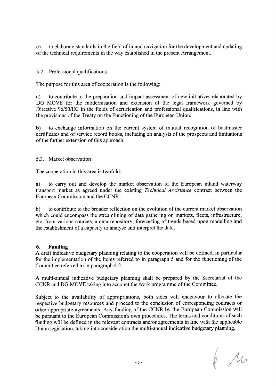c) to elaborate standards in the field of inland navigation for the development and updating of the technical requirements in the way established in the present Arrangement.

#### 5.2. Professional qualifications

The purpose for this area of cooperation is the following:

a) to contribute to the preparation and impact assessment of new initiatives elaborated by DG MOVE for the modernisation and extension of the legal framework governed by Directive 96/50/EC in the fields of certification and professional qualifications, in line with the provisions of the Treaty on the Functioning of the European Union.

b) to exchange information on the current system of mutual recognition of boatmaster certificates and of service record books, including an analysis of the prospects and limitations of the further extension of this approach.

5.3. Market observation

The cooperation in this area is twofold:

a) to carry out and develop the market observation of the European inland waterway transport market as agreed under the existing *Technical Assistance* contract between the European Commission and the CCNR;

b) to contribute to the broader reflection on the evolution of the current market observation which could encompass the streamlining of data gathering on markets, fleets, infrastructure, etc. from various sources, a data repository, forecasting of trends based upon modelling and the establishment of a capacity to analyse and interpret the data.

#### **6. Funding**

A draft indicative budgetary planning relating to the cooperation will be defined, in particular for the implementation of the items referred to in paragraph 5 and for the functioning of the Committee referred to in paragraph 4.2.

A multi-annual indicative budgetary planning shall be prepared by the Secretariat of the CCNR and DG MOVE taking into account the work programme of the Committee.

Subject to the availability of appropriations, both sides will endeavour to allocate the respective budgetary resources and proceed to the conclusion of corresponding contracts or other appropriate agreements. Any funding of the CCNR by the European Commission will be pursuant to the European Commission's own procedures. The terms and conditions of such funding will be defined in the relevant contracts and/or agreements in line with the applicable Union legislation, taking into consideration the multi-annual indicative budgetary planning.

 $\mu$